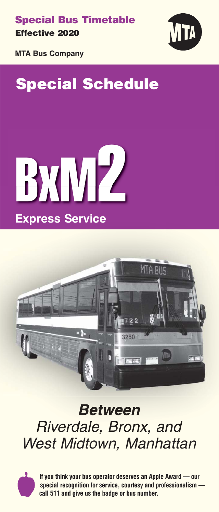**Special Bus Timetable Effective** 2020



**MTA Bus Company**

# **Special Schedule**





# **Between** Riverdale, Bronx, and West Midtown, Manhattan



**If you think your bus operator deserves an Apple Award — our special recognition for service, courtesy and professionalism call 511 and give us the badge or bus number.**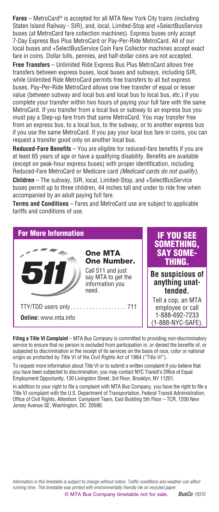**Fares** – MetroCard® is accepted for all MTA New York City trains (including Staten Island Railway - SIR), and, local, Limited-Stop and +SelectBusService buses (at MetroCard fare collection machines). Express buses only accept 7-Day Express Bus Plus MetroCard or Pay-Per-Ride MetroCard. All of our local buses and +SelectBusService Coin Fare Collector machines accept exact fare in coins. Dollar bills, pennies, and half-dollar coins are not accepted.

**Free Transfers** – Unlimited Ride Express Bus Plus MetroCard allows free transfers between express buses, local buses and subways, including SIR, while Unlimited Ride MetroCard permits free transfers to all but express buses. Pay-Per-Ride MetroCard allows one free transfer of equal or lesser value (between subway and local bus and local bus to local bus, etc.) if you complete your transfer within two hours of paying your full fare with the same MetroCard. If you transfer from a local bus or subway to an express bus you must pay a Step-up fare from that same MetroCard. You may transfer free from an express bus, to a local bus, to the subway, or to another express bus if you use the same MetroCard. If you pay your local bus fare in coins, you can request a transfer good only on another local bus.

**Reduced-Fare Benefits** – You are eligible for reduced-fare benefits if you are at least 65 years of age or have a qualifying disability. Benefits are available (except on peak-hour express buses) with proper identification, including Reduced-Fare MetroCard or Medicare card *(Medicaid cards do not qualify).* **Children** – The subway, SIR, local, Limited-Stop, and +SelectBusService buses permit up to three children, 44 inches tall and under to ride free when

accompanied by an adult paying full fare. **Terms and Conditions** – Fares and MetroCard use are subject to applicable tariffs and conditions of use.

#### For More Information



Call 511 and just say MTA to get the information you

**Online:** www.mta.info

IF YOU SEE SOMETHING, SAY SOME- THING.

**Be suspicious of anything unattended.**

Tell a cop, an MTA employee or call 1-888-692-7233 (1-888-NYC-SAFE).

**Filing a Title VI Complaint** – MTA Bus Company is committed to providing non-discriminatory service to ensure that no person is excluded from participation in, or denied the benefits of, or subjected to discrimination in the receipt of its services on the basis of race, color or national origin as protected by Title VI of the Civil Rights Act of 1964 ("Title VI").

To request more information about Title VI or to submit a written complaint if you believe that you have been subjected to discrimination, you may contact NYC Transit's Office of Equal Employment Opportunity, 130 Livingston Street, 3rd Floor, Brooklyn, NY 11201.

In addition to your right to file a complaint with MTA Bus Company, you have the right to file a Title VI complaint with the U.S. Department of Transportation, Federal Transit Administration, Office of Civil Rights, Attention: Complaint Team, East Building 5th Floor – TCR, 1200 New Jersey Avenue SE, Washington, DC 20590.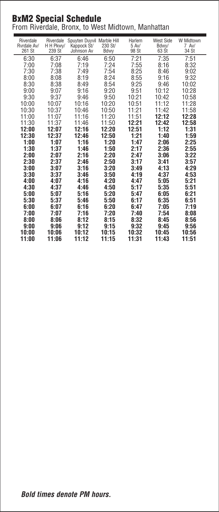# **BxM2** Special Schedule

*From Riverdale, Bronx, to West Midtown, Manhattan*

| Riverdale<br>Rvrdale Av/<br>261 St | <b>Riverdale</b><br>H H Pkwy/<br>239 St | Spuyten Duyvil Marble Hill<br>Kappock St/<br>Johnson Av | 230 St/<br>Bdwy | Harlem<br>5 Av/<br>98 St | West Side<br>Bdwy/<br>63 Št | W Midtown<br>7 Av/<br>34 St |
|------------------------------------|-----------------------------------------|---------------------------------------------------------|-----------------|--------------------------|-----------------------------|-----------------------------|
| 6:30                               | 6:37                                    | 6:46                                                    | 6:50            | 7:21                     | 7:35                        | 7:51                        |
| 7:00                               | 7:08                                    | 7:19                                                    | 7:24            | 7:55                     | 8:16                        | 8:32                        |
| 7:30                               | 7:38                                    | 7:49                                                    | 7:54            | 8:25                     | 8:46                        | 9:02                        |
| 8:00                               | 8:08                                    | 8:19                                                    | 8:24            | 8:55                     | 9:16                        | 9:32                        |
| 8:30                               | 8:38                                    | 8:49                                                    | 8:54            | 9:25                     | 9:46                        | 10:02                       |
| 9:00<br>9:30                       | 9:07<br>9:37                            | 9:16<br>9:46                                            | 9:20<br>9:50    | 9:51<br>10:21            | 10:12<br>10:42              | 10:28<br>10:58              |
| 10:00                              | 10:07                                   | 10:16                                                   | 10:20           | 10:51                    | 11:12                       | 11:28                       |
| 10:30                              | 10:37                                   | 10:46                                                   | 10:50           | 11:21                    | 11:42                       | 11:58                       |
| 11:00                              | 11:07                                   | 11:16                                                   | 11:20           | 11:51                    | 12:12                       | 12:28                       |
| 11:30                              | 11:37                                   | 11:46                                                   | 11:50           | 12:21                    | 12:42                       | 12:58                       |
| 12:00                              | 12:07                                   | 12:16                                                   | 12:20           | 12:51                    | 1:12                        | 1:31                        |
| 12:30                              | 12:37                                   | 12:46                                                   | 12:50           | 1:21                     | 1:40                        | 1:59                        |
| 1:00                               | 1:07                                    | 1:16                                                    | 1:20            | 1:47                     | 2:06                        | 2:25                        |
| 1:30                               | 1:37                                    | 1:46                                                    | 1:50            | 2:17                     | 2:36                        | 2:55                        |
| 2:00                               | 2:07                                    | 2:16                                                    | 2:20            | 2:47                     | 3:06                        | 3:22                        |
| 2:30                               | 2:37                                    | 2:46                                                    | 2:50            | 3:17                     | 3:41                        | 3:57                        |
| 3:00                               | 3:07                                    | 3:16                                                    | 3:20            | 3:49                     | 4:13                        | 4:29                        |
| 3:30                               | 3:37                                    | 3:46                                                    | 3:50            | 4:19                     | 4:37                        | 4:53                        |
| 4:00                               | 4:07                                    | 4:16                                                    | 4:20            | 4:47                     | 5:05                        | 5:21                        |
| 4:30<br>5:00                       | 4:37<br>5:07                            | 4:46<br>5:16                                            | 4:50<br>5:20    | 5:17<br>5:47             | 5:35<br>6:05                | 5:51<br>6:21                |
| 5:30                               | 5:37                                    | 5:46                                                    | 5:50            | 6:17                     | 6:35                        | 6:51                        |
| 6:00                               | 6:07                                    | 6:16                                                    | 6:20            | 6:47                     | 7:05                        | 7:19                        |
| 7:00                               | 7:07                                    | 7:16                                                    | 7:20            | 7:40                     | 7:54                        | 8:08                        |
| 8:00                               | 8:06                                    | 8:12                                                    | 8:15            | 8:32                     | 8:45                        | 8:56                        |
| 9:00                               | 9:06                                    | 9:12                                                    | 9:15            | 9:32                     | 9:45                        | 9:56                        |
| 10:00                              | 10:06                                   | 10:12                                                   | 10:15           | 10:32                    | 10:45                       | 10:56                       |
| 11:00                              | 11:06                                   | 11:12                                                   | 11:15           | 11:31                    | 11:43                       | 11:51                       |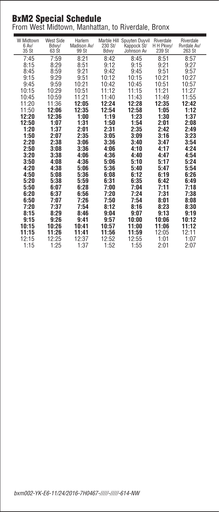## **BxM2** Special Schedule

*From West Midtown, Manhattan, to Riverdale, Bronx*

| W Midtown<br>6 Av/<br>35 St | West Side<br>Bdwy/<br>63 St | Harlem<br>Madison Av/<br>99 St | 230 St/<br>Bdwy | Marble Hill Spuyten Duyvil<br>Kappock St/<br>Johnson Av | Riverdale<br>H H Pkwy/<br>239 St | Riverdale<br>Ryrdale Av/<br>263 St |
|-----------------------------|-----------------------------|--------------------------------|-----------------|---------------------------------------------------------|----------------------------------|------------------------------------|
| 7:45                        | 7:59                        | 8:21                           | 8:42            | 8:45                                                    | 8:51                             | 8:57                               |
| 8:15                        | 8:29                        | 8:51                           | 9:12            | 9:15                                                    | 9:21                             | 9:27                               |
| 8:45                        | 8:59                        | 9:21                           | 9:42            | 9:45                                                    | 9:51                             | 9:57                               |
| 9:15                        | 9:29                        | 9:51                           | 10:12           | 10:15                                                   | 10:21                            | 10:27                              |
| 9:45                        | 9:59                        | 10:21                          | 10:42           | 10:45                                                   | 10:51                            | 10:57                              |
| 10:15                       | 10:29                       | 10:51                          | 11:12           | 11:15                                                   | 11:21                            | 11:27                              |
| 10:45                       | 10:59                       | 11:21                          | 11:40           | 11:43                                                   | 11:49                            | 11:55                              |
| 11:20                       | 11:36                       | 12:05                          | 12:24           | 12:28                                                   | 12:35                            | 12:42                              |
| 11:50                       | 12:06                       | 12:35                          | 12:54           | 12:58                                                   | 1:05                             | 1:12                               |
| 12:20                       | 12:36                       | 1:00                           | 1:19            | 1:23                                                    | 1:30                             | 1:37                               |
| 12:50                       | 1:07                        | 1:31                           | 1:50            | 1:54                                                    | 2:01                             | 2:08                               |
| 1:20                        | 1:37                        | 2:01                           | 2:31            | 2:35                                                    | 2:42                             | 2:49                               |
| 1:50                        | 2:07                        | 2:35                           | 3:05            | 3:09                                                    | 3:16                             | 3:23                               |
| 2:20                        | 2:38                        | 3:06                           | 3:36            | 3:40                                                    | 3:47                             | 3:54                               |
| 2:50                        | 3:08                        | 3:36                           | 4:06            | 4:10                                                    | 4:17                             | 4:24                               |
| 3:20                        | 3:38                        | 4:06                           | 4:36            | 4:40                                                    | 4:47                             | 4:54                               |
| 3:50                        | 4:08                        | 4:36                           | 5:06            | 5:10                                                    | 5:17                             | 5:24                               |
| 4:20                        | 4:38                        | 5:06                           | 5:36            | 5:40                                                    | 5:47                             | 5:54                               |
| 4:50                        | 5:08                        | 5:36                           | 6:08            | 6:12                                                    | 6:19                             | 6:26                               |
| 5:20                        | 5:38                        | 5:59                           | 6:31            | 6:35                                                    | 6:42                             | 6:49                               |
| 5:50                        | 6:07                        | 6:28                           | 7:00            | 7:04                                                    | 7:11                             | 7:18                               |
| 6:20                        | 6:37                        | 6:56                           | 7:20            | 7:24                                                    | 7:31                             | 7:38                               |
| 6:50                        | 7:07                        | 7:26                           | 7:50            | 7:54                                                    | 8:01                             | 8:08                               |
| 7:20                        | 7:37                        | 7:54                           | 8:12            | 8:16                                                    | 8:23                             | 8:30                               |
| 8:15                        | 8:29                        | 8:46                           | 9:04            | 9:07                                                    | 9:13                             | 9:19                               |
| 9:15                        | 9:26                        | 9:41                           | 9:57            | 10:00                                                   | 10:06                            | 10:12                              |
| 10:15                       | 10:26                       | 10:41                          | 10:57           | 11:00                                                   | 11:06                            | 11:12                              |
| 11:15                       | 11:26                       | 11:41                          | 11:56           | 11:59                                                   | 12:05                            | 12:11                              |
| 12:15                       | 12:25                       | 12:37                          | 12:52           | 12:55                                                   | 1:01                             | 1:07                               |
| 1:15                        | 1:25                        | 1:37                           | 1:52            | 1:55                                                    | 2:01                             | 2:07                               |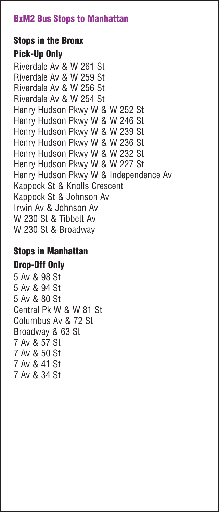## **BxM2 Bus Stops to Manhattan**

# **Stops in the Bronx Pick-Up Only**

*Riverdale Av & W 261 St Riverdale Av & W 259 St Riverdale Av & W 256 St Riverdale Av & W 254 St Henry Hudson Pkwy W & W 252 St Henry Hudson Pkwy W & W 246 St Henry Hudson Pkwy W & W 239 St Henry Hudson Pkwy W & W 236 St Henry Hudson Pkwy W & W 232 St Henry Hudson Pkwy W & W 227 St Henry Hudson Pkwy W & Independence Av Kappock St & Knolls Crescent Kappock St & Johnson Av Irwin Av & Johnson Av W 230 St & Tibbett Av W 230 St & Broadway*

# **Stops in Manhattan**

## **Drop-Off Only**

*5 Av & 98 St 5 Av & 94 St 5 Av & 80 St Central Pk W & W 81 St Columbus Av & 72 St Broadway & 63 St 7 Av & 57 St 7 Av & 50 St 7 Av & 41 St 7 Av & 34 St*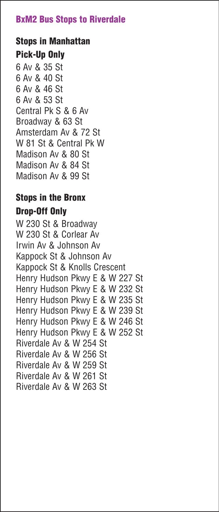#### **BxM2 Bus Stops to Riverdale**

# **Stops in Manhattan Pick-Up Only**

6 Av & 35 St 6 Av & 40 St 6 Av & 46 St 6 Av & 53 St Central Pk S & 6 Av Broadway & 63 St Amsterdam Av & 72 St W 81 St & Central Pk W Madison Av & 80 St Madison Av & 84 St Madison Av & 99 St

# **Stops in the Bronx**

# **Drop-Off Only**

W 230 St & Broadway W 230 St & Corlear Av Irwin Av & Johnson Av Kappock St & Johnson Av Kappock St & Knolls Crescent Henry Hudson Pkwy E & W 227 St Henry Hudson Pkwy E & W 232 St Henry Hudson Pkwy E & W 235 St Henry Hudson Pkwy E & W 239 St Henry Hudson Pkwy E & W 246 St Henry Hudson Pkwy E & W 252 St Riverdale Av & W 254 St Riverdale Av & W 256 St Riverdale Av & W 259 St Riverdale Av & W 261 St Riverdale Av & W 263 St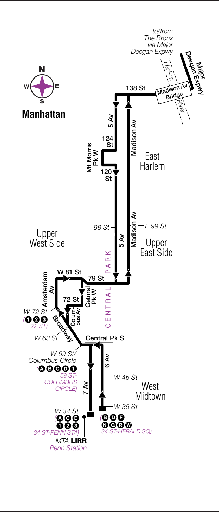